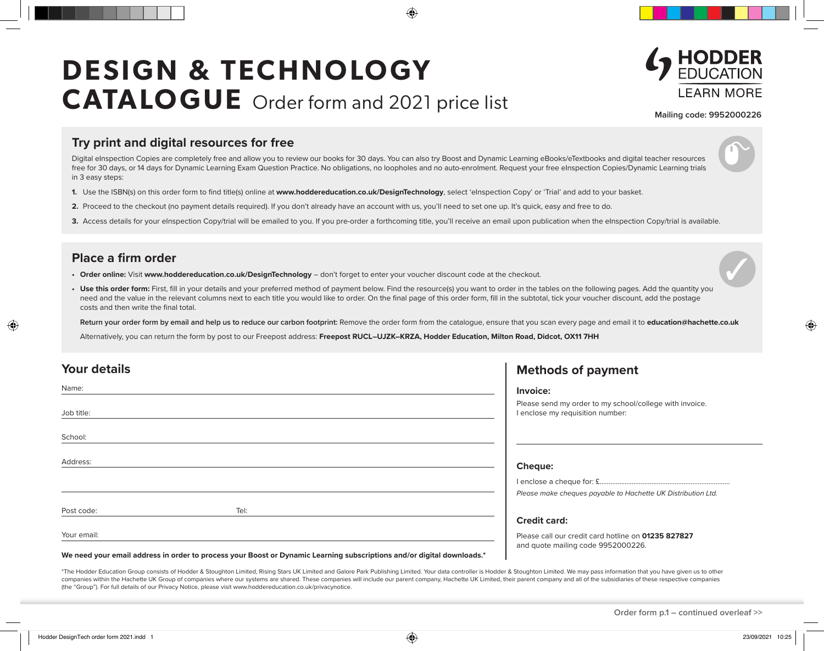# **DESIGN & TECHNOLOGY CATALOGUE** Order form and 2021 price list



**Mailing code: 9952000226**

### **Try print and digital resources for free**

Digital eInspection Copies are completely free and allow you to review our books for 30 days. You can also try Boost and Dynamic Learning eBooks/eTextbooks and digital teacher resources free for 30 days, or 14 days for Dynamic Learning Exam Question Practice. No obligations, no loopholes and no auto-enrolment. Request your free eInspection Copies/Dynamic Learning trials in 3 easy steps:

- **1.** Use the ISBN(s) on this order form to find title(s) online at **www.hoddereducation.co.uk/DesignTechnology**, select 'eInspection Copy' or 'Trial' and add to your basket.
- **2.** Proceed to the checkout (no payment details required). If you don't already have an account with us, you'll need to set one up. It's quick, easy and free to do.
- 3. Access details for your eInspection Copy/trial will be emailed to you. If you pre-order a forthcoming title, you'll receive an email upon publication when the eInspection Copy/trial is available.

#### **Place a firm order**

- **• Order online:** Visit **www.hoddereducation.co.uk/DesignTechnology** don't forget to enter your voucher discount code at the checkout.
- Use this order form: First, fill in your details and your preferred method of payment below. Find the resource(s) you want to order in the tables on the following pages. Add the quantity you need and the value in the relevant columns next to each title you would like to order. On the final page of this order form, fill in the subtotal, tick your voucher discount, add the postage costs and then write the final total.

**Return your order form by email and help us to reduce our carbon footprint:** Remove the order form from the catalogue, ensure that you scan every page and email it to **education@hachette.co.uk**

Alternatively, you can return the form by post to our Freepost address: Freepost RUCL-UJZK-KRZA, Hodder Education, Milton Road, Didcot, OX11 7HH

| <b>Your details</b> |                                                                                                                        | <b>Methods of payment</b>                                                                   |
|---------------------|------------------------------------------------------------------------------------------------------------------------|---------------------------------------------------------------------------------------------|
| Name:               |                                                                                                                        | Invoice:                                                                                    |
| Job title:          |                                                                                                                        | Please send my order to my school/college with invoice.<br>I enclose my requisition number: |
| School:             |                                                                                                                        |                                                                                             |
| Address:            |                                                                                                                        | <b>Cheque:</b>                                                                              |
|                     |                                                                                                                        | Please make cheques payable to Hachette UK Distribution Ltd.                                |
| Post code:          | Tel:                                                                                                                   |                                                                                             |
|                     |                                                                                                                        | <b>Credit card:</b>                                                                         |
| Your email:         |                                                                                                                        | Please call our credit card hotline on 01235 827827<br>and quote mailing code 9952000226.   |
|                     | We need your email address in order to process your Boost or Dynamic Learning subscriptions and/or digital downloads.* |                                                                                             |

\*The Hodder Education Group consists of Hodder & Stoughton Limited, Rising Stars UK Limited and Galore Park Publishing Limited. Your data controller is Hodder & Stoughton Limited. We may pass information that you have give companies within the Hachette UK Group of companies where our systems are shared. These companies will include our parent company, Hachette UK Limited, their parent company and all of the subsidiaries of these respective c (the "Group"). For full details of our Privacy Notice, please visit www.hoddereducation.co.uk/privacynotice.

**Order form p.1 – continued overleaf >>**

◈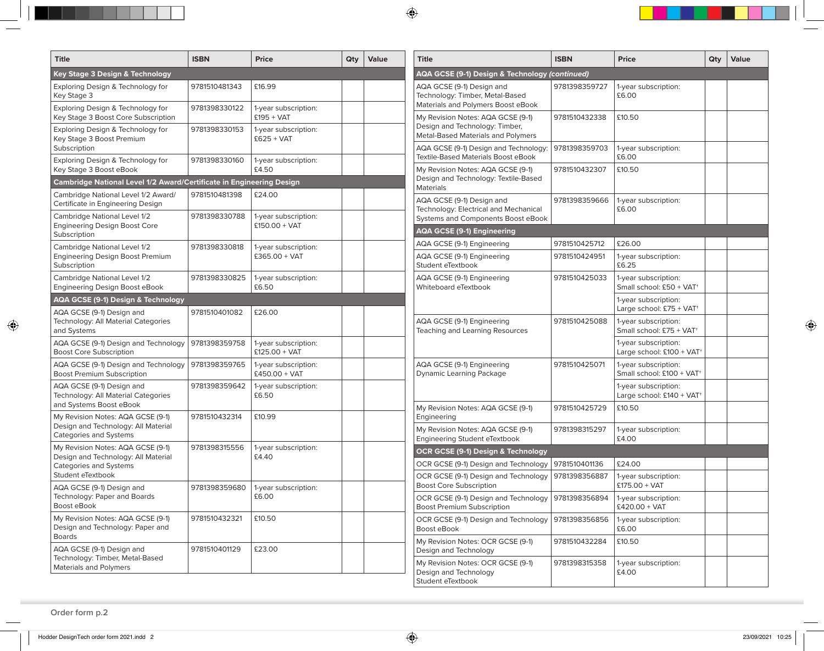| <b>Title</b>                                                                            | <b>ISBN</b>   | <b>Price</b>                                              | Qty                                  | Value | <b>Title</b>                                                                                                  | <b>ISBN</b>   | <b>Price</b>                                                  | Qty | Value |
|-----------------------------------------------------------------------------------------|---------------|-----------------------------------------------------------|--------------------------------------|-------|---------------------------------------------------------------------------------------------------------------|---------------|---------------------------------------------------------------|-----|-------|
| Key Stage 3 Design & Technology                                                         |               | <b>AQA GCSE (9-1) Design &amp; Technology (continued)</b> |                                      |       |                                                                                                               |               |                                                               |     |       |
| Exploring Design & Technology for<br>Key Stage 3                                        | 9781510481343 | £16.99                                                    |                                      |       | AQA GCSE (9-1) Design and<br>Technology: Timber, Metal-Based                                                  | 9781398359727 | 1-year subscription:<br>£6.00                                 |     |       |
| Exploring Design & Technology for<br>Key Stage 3 Boost Core Subscription                | 9781398330122 | 1-year subscription:<br>$£195 + VAT$                      |                                      |       | Materials and Polymers Boost eBook<br>My Revision Notes: AQA GCSE (9-1)                                       | 9781510432338 | £10.50                                                        |     |       |
| Exploring Design & Technology for<br>Key Stage 3 Boost Premium<br>Subscription          | 9781398330153 | 1-year subscription:<br>$£625 + VAT$                      |                                      |       | Design and Technology: Timber,<br>Metal-Based Materials and Polymers<br>AQA GCSE (9-1) Design and Technology: | 9781398359703 | 1-year subscription:                                          |     |       |
| Exploring Design & Technology for<br>Key Stage 3 Boost eBook                            | 9781398330160 | 1-year subscription:<br>£4.50                             |                                      |       | Textile-Based Materials Boost eBook<br>My Revision Notes: AQA GCSE (9-1)                                      | 9781510432307 | £6.00<br>£10.50                                               |     |       |
| Cambridge National Level 1/2 Award/Certificate in Engineering Design                    |               |                                                           | Design and Technology: Textile-Based |       |                                                                                                               |               |                                                               |     |       |
| Cambridge National Level 1/2 Award/<br>Certificate in Engineering Design                | 9781510481398 | £24.00                                                    |                                      |       | Materials<br>AQA GCSE (9-1) Design and<br>Technology: Electrical and Mechanical                               | 9781398359666 | 1-year subscription:<br>£6.00                                 |     |       |
| Cambridge National Level 1/2<br><b>Engineering Design Boost Core</b>                    | 9781398330788 | 1-year subscription:<br>$£150.00 + VAT$                   |                                      |       | Systems and Components Boost eBook<br><b>AQA GCSE (9-1) Engineering</b>                                       |               |                                                               |     |       |
| Subscription                                                                            |               |                                                           |                                      |       |                                                                                                               | 9781510425712 | £26.00                                                        |     |       |
| Cambridge National Level 1/2<br><b>Engineering Design Boost Premium</b><br>Subscription | 9781398330818 | 1-year subscription:<br>$£365.00 + VAT$                   |                                      |       | AQA GCSE (9-1) Engineering<br>AQA GCSE (9-1) Engineering<br>Student eTextbook                                 | 9781510424951 | 1-year subscription:<br>£6.25                                 |     |       |
| Cambridge National Level 1/2<br>Engineering Design Boost eBook                          | 9781398330825 | 1-year subscription:<br>£6.50                             |                                      |       | AQA GCSE (9-1) Engineering<br>Whiteboard eTextbook                                                            | 9781510425033 | 1-year subscription:<br>Small school: £50 + VAT <sup>+</sup>  |     |       |
| AQA GCSE (9-1) Design & Technology                                                      |               |                                                           |                                      |       |                                                                                                               |               | 1-year subscription:<br>Large school: £75 + VAT <sup>+</sup>  |     |       |
| AQA GCSE (9-1) Design and<br>Technology: All Material Categories<br>and Systems         | 9781510401082 | £26.00                                                    |                                      |       | AQA GCSE (9-1) Engineering<br>Teaching and Learning Resources                                                 | 9781510425088 | 1-year subscription:<br>Small school: £75 + VAT <sup>+</sup>  |     |       |
| AQA GCSE (9-1) Design and Technology<br><b>Boost Core Subscription</b>                  | 9781398359758 | 1-year subscription:<br>$£125.00 + VAT$                   |                                      |       |                                                                                                               |               | 1-year subscription:<br>Large school: £100 + VAT+             |     |       |
| AQA GCSE (9-1) Design and Technology<br><b>Boost Premium Subscription</b>               | 9781398359765 | 1-year subscription:<br>$£450.00 + VAT$                   |                                      |       | AQA GCSE (9-1) Engineering<br><b>Dynamic Learning Package</b>                                                 | 9781510425071 | 1-year subscription:<br>Small school: £100 + VAT <sup>+</sup> |     |       |
| AQA GCSE (9-1) Design and<br>Technology: All Material Categories                        | 9781398359642 | 1-year subscription:<br>£6.50                             |                                      |       |                                                                                                               |               | 1-year subscription:<br>Large school: £140 + VAT+             |     |       |
| and Systems Boost eBook<br>My Revision Notes: AQA GCSE (9-1)                            | 9781510432314 | £10.99                                                    |                                      |       | My Revision Notes: AQA GCSE (9-1)<br>Engineering                                                              | 9781510425729 | £10.50                                                        |     |       |
| Design and Technology: All Material<br>Categories and Systems                           |               |                                                           |                                      |       | My Revision Notes: AQA GCSE (9-1)<br>Engineering Student eTextbook                                            | 9781398315297 | 1-year subscription:<br>£4.00                                 |     |       |
| My Revision Notes: AQA GCSE (9-1)<br>Design and Technology: All Material                | 9781398315556 | 1-year subscription:<br>£4.40                             |                                      |       | OCR GCSE (9-1) Design & Technology                                                                            |               |                                                               |     |       |
| Categories and Systems                                                                  |               |                                                           |                                      |       | OCR GCSE (9-1) Design and Technology                                                                          | 9781510401136 | £24.00                                                        |     |       |
| Student eTextbook<br>AQA GCSE (9-1) Design and                                          | 9781398359680 | 1-year subscription:<br>£6.00                             |                                      |       | OCR GCSE (9-1) Design and Technology<br><b>Boost Core Subscription</b>                                        | 9781398356887 | 1-year subscription:<br>$£175.00 + VAT$                       |     |       |
| Technology: Paper and Boards<br>Boost eBook                                             |               |                                                           |                                      |       | OCR GCSE (9-1) Design and Technology<br><b>Boost Premium Subscription</b>                                     | 9781398356894 | 1-year subscription:<br>£420.00 + VAT                         |     |       |
| My Revision Notes: AQA GCSE (9-1)<br>Design and Technology: Paper and                   | 9781510432321 | £10.50                                                    |                                      |       | OCR GCSE (9-1) Design and Technology<br>Boost eBook                                                           | 9781398356856 | 1-year subscription:<br>£6.00                                 |     |       |
| <b>Boards</b><br>AQA GCSE (9-1) Design and                                              | 9781510401129 | £23.00                                                    |                                      |       | My Revision Notes: OCR GCSE (9-1)<br>Design and Technology                                                    | 9781510432284 | £10.50                                                        |     |       |
| Technology: Timber, Metal-Based<br>Materials and Polymers                               |               |                                                           |                                      |       | My Revision Notes: OCR GCSE (9-1)<br>Design and Technology<br>Student eTextbook                               | 9781398315358 | 1-year subscription:<br>£4.00                                 |     |       |

 $\bigoplus$ 

 $\bigoplus$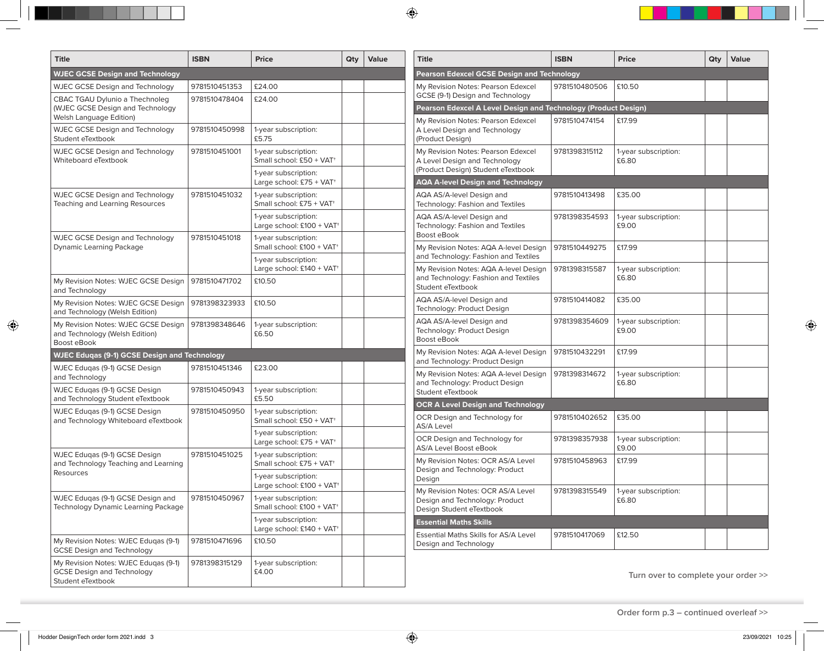| <b>Title</b>                                                              | <b>ISBN</b>   | <b>Price</b>                                                  | Qty                                        | Value | <b>Title</b>                                                        | <b>ISBN</b>                         | <b>Price</b>                  | Qty | <b>Value</b> |  |
|---------------------------------------------------------------------------|---------------|---------------------------------------------------------------|--------------------------------------------|-------|---------------------------------------------------------------------|-------------------------------------|-------------------------------|-----|--------------|--|
| <b>WJEC GCSE Design and Technology</b>                                    |               |                                                               | Pearson Edexcel GCSE Design and Technology |       |                                                                     |                                     |                               |     |              |  |
| <b>WJEC GCSE Design and Technology</b>                                    | 9781510451353 | £24.00                                                        |                                            |       | My Revision Notes: Pearson Edexcel                                  | 9781510480506                       | £10.50                        |     |              |  |
| CBAC TGAU Dylunio a Thechnoleg                                            | 9781510478404 | £24.00                                                        |                                            |       | GCSE (9-1) Design and Technology                                    |                                     |                               |     |              |  |
| (WJEC GCSE Design and Technology                                          |               |                                                               |                                            |       | Pearson Edexcel A Level Design and Technology (Product Design)      |                                     |                               |     |              |  |
| Welsh Language Edition)                                                   |               |                                                               |                                            |       | My Revision Notes: Pearson Edexcel                                  | 9781510474154                       | £17.99                        |     |              |  |
| <b>WJEC GCSE Design and Technology</b><br>Student eTextbook               | 9781510450998 | 1-year subscription:<br>£5.75                                 |                                            |       | A Level Design and Technology<br>(Product Design)                   |                                     |                               |     |              |  |
| <b>WJEC GCSE Design and Technology</b>                                    | 9781510451001 | 1-year subscription:                                          |                                            |       | My Revision Notes: Pearson Edexcel                                  | 9781398315112                       | 1-year subscription:          |     |              |  |
| Whiteboard eTextbook                                                      |               | Small school: £50 + VAT <sup>+</sup>                          |                                            |       | A Level Design and Technology<br>(Product Design) Student eTextbook |                                     | £6.80                         |     |              |  |
|                                                                           |               | 1-year subscription:<br>Large school: £75 + VAT <sup>+</sup>  |                                            |       | <b>AQA A-level Design and Technology</b>                            |                                     |                               |     |              |  |
| <b>WJEC GCSE Design and Technology</b>                                    | 9781510451032 | 1-year subscription:                                          |                                            |       | AQA AS/A-level Design and                                           | 9781510413498                       | £35.00                        |     |              |  |
| Teaching and Learning Resources                                           |               | Small school: £75 + VAT <sup>+</sup>                          |                                            |       | Technology: Fashion and Textiles                                    |                                     |                               |     |              |  |
|                                                                           |               | 1-year subscription:                                          |                                            |       | AQA AS/A-level Design and                                           | 9781398354593                       | 1-year subscription:          |     |              |  |
|                                                                           |               | Large school: £100 + VAT+                                     |                                            |       | Technology: Fashion and Textiles<br>Boost eBook                     |                                     | £9.00                         |     |              |  |
| <b>WJEC GCSE Design and Technology</b><br>Dynamic Learning Package        | 9781510451018 | 1-year subscription:<br>Small school: £100 + VAT <sup>+</sup> |                                            |       | My Revision Notes: AQA A-level Design                               | 9781510449275                       | £17.99                        |     |              |  |
|                                                                           |               | 1-year subscription:                                          |                                            |       | and Technology: Fashion and Textiles                                |                                     |                               |     |              |  |
|                                                                           |               | Large school: £140 + VAT+                                     |                                            |       | My Revision Notes: AQA A-level Design                               | 9781398315587                       | 1-year subscription:<br>£6.80 |     |              |  |
| My Revision Notes: WJEC GCSE Design                                       | 9781510471702 | £10.50                                                        |                                            |       | and Technology: Fashion and Textiles                                |                                     |                               |     |              |  |
| and Technology                                                            |               |                                                               |                                            |       | Student eTextbook                                                   |                                     |                               |     |              |  |
| My Revision Notes: WJEC GCSE Design<br>and Technology (Welsh Edition)     | 9781398323933 | £10.50                                                        |                                            |       | AQA AS/A-level Design and<br>Technology: Product Design             | 9781510414082                       | £35.00                        |     |              |  |
| My Revision Notes: WJEC GCSE Design                                       | 9781398348646 | 1-year subscription:                                          |                                            |       | AQA AS/A-level Design and                                           | 9781398354609                       | 1-year subscription:          |     |              |  |
| and Technology (Welsh Edition)                                            |               | £6.50                                                         |                                            |       | Technology: Product Design<br>Boost eBook                           |                                     | £9.00                         |     |              |  |
| Boost eBook                                                               |               |                                                               |                                            |       | My Revision Notes: AQA A-level Design                               | 9781510432291                       | £17.99                        |     |              |  |
| <b>WJEC Edugas (9-1) GCSE Design and Technology</b>                       |               |                                                               |                                            |       | and Technology: Product Design                                      |                                     |                               |     |              |  |
| WJEC Eduqas (9-1) GCSE Design                                             | 9781510451346 | £23.00                                                        |                                            |       | My Revision Notes: AQA A-level Design                               | 9781398314672                       | 1-year subscription:          |     |              |  |
| and Technology                                                            | 9781510450943 |                                                               |                                            |       | and Technology: Product Design                                      |                                     | £6.80                         |     |              |  |
| WJEC Eduqas (9-1) GCSE Design<br>and Technology Student eTextbook         |               | 1-year subscription:<br>£5.50                                 |                                            |       | Student eTextbook                                                   |                                     |                               |     |              |  |
| WJEC Edugas (9-1) GCSE Design                                             | 9781510450950 | 1-year subscription:                                          |                                            |       | <b>OCR A Level Design and Technology</b>                            |                                     |                               |     |              |  |
| and Technology Whiteboard eTextbook                                       |               | Small school: £50 + VAT <sup>+</sup>                          |                                            |       | OCR Design and Technology for<br><b>AS/A Level</b>                  | 9781510402652                       | £35.00                        |     |              |  |
|                                                                           |               | 1-year subscription:                                          |                                            |       | OCR Design and Technology for                                       | 9781398357938                       | 1-year subscription:          |     |              |  |
|                                                                           |               | Large school: £75 + VAT+                                      |                                            |       | AS/A Level Boost eBook                                              |                                     | £9.00                         |     |              |  |
| WJEC Eduqas (9-1) GCSE Design<br>and Technology Teaching and Learning     | 9781510451025 | 1-year subscription:<br>Small school: £75 + VAT <sup>+</sup>  |                                            |       | My Revision Notes: OCR AS/A Level                                   | 9781510458963                       | £17.99                        |     |              |  |
| Resources                                                                 |               |                                                               |                                            |       | Design and Technology: Product                                      |                                     |                               |     |              |  |
|                                                                           |               | 1-year subscription:<br>Large school: £100 + VAT              |                                            |       | Design                                                              |                                     |                               |     |              |  |
| WJEC Eduqas (9-1) GCSE Design and                                         | 9781510450967 | 1-year subscription:                                          |                                            |       | My Revision Notes: OCR AS/A Level<br>Design and Technology: Product | 9781398315549                       | 1-year subscription:<br>£6.80 |     |              |  |
| Technology Dynamic Learning Package                                       |               | Small school: £100 + VAT <sup>+</sup>                         |                                            |       | Design Student eTextbook                                            |                                     |                               |     |              |  |
|                                                                           |               | 1-year subscription:                                          |                                            |       | <b>Essential Maths Skills</b>                                       |                                     |                               |     |              |  |
|                                                                           |               | Large school: £140 + VAT <sup>+</sup>                         |                                            |       | <b>Essential Maths Skills for AS/A Level</b>                        | 9781510417069                       | £12.50                        |     |              |  |
| My Revision Notes: WJEC Edugas (9-1)<br><b>GCSE Design and Technology</b> | 9781510471696 | £10.50                                                        |                                            |       | Design and Technology                                               |                                     |                               |     |              |  |
|                                                                           |               |                                                               |                                            |       |                                                                     |                                     |                               |     |              |  |
| My Revision Notes: WJEC Edugas (9-1)<br><b>GCSE Design and Technology</b> | 9781398315129 | 1-year subscription:<br>£4.00                                 |                                            |       |                                                                     |                                     |                               |     |              |  |
| Student eTextbook                                                         |               |                                                               |                                            |       |                                                                     | Turn over to complete your order >> |                               |     |              |  |

 $\bigoplus$ 

 $\bigoplus$ 

**Order form p.3 – continued overleaf >>**

 $\bigcirc$